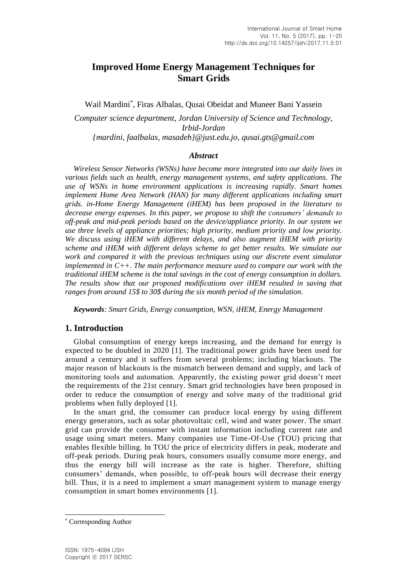# **Improved Home Energy Management Techniques for Smart Grids**

Wail Mardini\* , Firas Albalas, Qusai Obeidat and Muneer Bani Yassein

*Computer science department, Jordan University of Science and Technology, Irbid-Jordan {mardini, faalbalas, masadeh}@just.edu.jo, qusai.gts@gmail.com*

#### *Abstract*

*Wireless Sensor Networks (WSNs) have become more integrated into our daily lives in various fields such as health, energy management systems, and safety applications. The use of WSNs in home environment applications is increasing rapidly. Smart homes implement Home Area Network (HAN) for many different applications including smart grids. in-Home Energy Management (iHEM) has been proposed in the literature to decrease energy expenses. In this paper, we propose to shift the consumers' demands to off-peak and mid-peak periods based on the device/appliance priority. In our system we use three levels of appliance priorities; high priority, medium priority and low priority. We discuss using iHEM with different delays, and also augment iHEM with priority scheme and iHEM with different delays scheme to get better results. We simulate our work and compared it with the previous techniques using our discrete event simulator implemented in C++. The main performance measure used to compare our work with the traditional iHEM scheme is the total savings in the cost of energy consumption in dollars. The results show that our proposed modifications over iHEM resulted in saving that ranges from around 15\$ to 30\$ during the six month period of the simulation.*

*Keywords: Smart Grids, Energy consumption, WSN, iHEM, Energy Management*

## **1. Introduction**

Global consumption of energy keeps increasing, and the demand for energy is expected to be doubled in 2020 [1]. The traditional power grids have been used for around a century and it suffers from several problems; including blackouts. The major reason of blackouts is the mismatch between demand and supply, and lack of monitoring tools and automation. Apparently, the existing power grid doesn't meet the requirements of the 21st century. Smart grid technologies have been proposed in order to reduce the consumption of energy and solve many of the traditional grid problems when fully deployed [1].

In the smart grid, the consumer can produce local energy by using different energy generators, such as solar photovoltaic cell, wind and water power. The smart grid can provide the consumer with instant information including current rate and usage using smart meters. Many companies use Time-Of-Use (TOU) pricing that enables flexible billing. In TOU the price of electricity differs in peak, moderate and off-peak periods. During peak hours, consumers usually consume more energy, and thus the energy bill will increase as the rate is higher. Therefore, shifting consumers' demands, when possible, to off-peak hours will decrease their energy bill. Thus, it is a need to implement a smart management system to manage energy consumption in smart homes environments [1].

l

<sup>\*</sup> Corresponding Author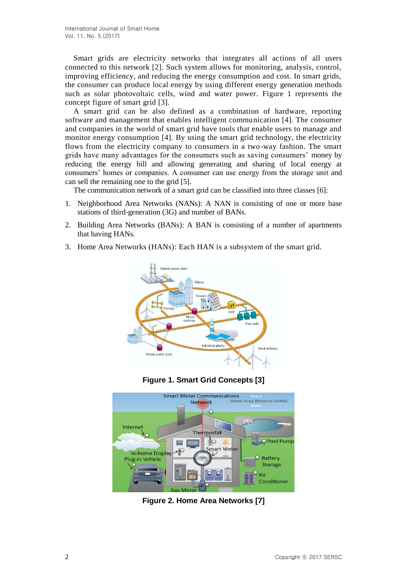Smart grids are electricity networks that integrates all actions of all users connected to this network [2]. Such system allows for monitoring, analysis, control, improving efficiency, and reducing the energy consumption and cost. In smart grids, the consumer can produce local energy by using different energy generation methods such as solar photovoltaic cells, wind and water power. Figure 1 represents the concept figure of smart grid [3].

A smart grid can be also defined as a combination of hardware, reporting software and management that enables intelligent communication [4]. The consumer and companies in the world of smart grid have tools that enable users to manage and monitor energy consumption [4]. By using the smart grid technology, the electricity flows from the electricity company to consumers in a two-way fashion. The smart grids have many advantages for the consumers such as saving consumers' money by reducing the energy bill and allowing generating and sharing of local energy at consumers' homes or companies. A consumer can use energy from the storage unit and can sell the remaining one to the grid [5].

The communication network of a smart grid can be classified into three classes [6]:

- 1. Neighborhood Area Networks (NANs): A NAN is consisting of one or more base stations of third-generation (3G) and number of BANs.
- 2. Building Area Networks (BANs): A BAN is consisting of a number of apartments that having HANs.
- 3. Home Area Networks (HANs): Each HAN is a subsystem of the smart grid.



**Figure 1. Smart Grid Concepts [3]**



**Figure 2. Home Area Networks [7]**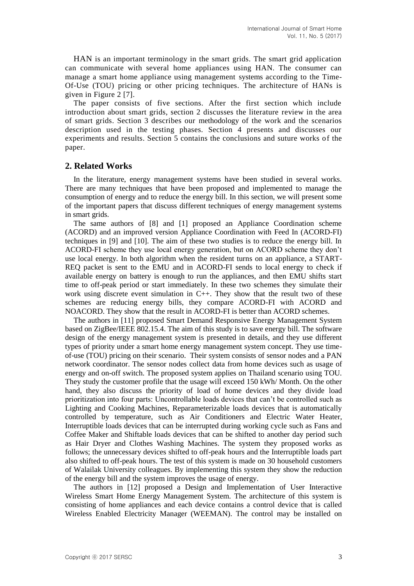HAN is an important terminology in the smart grids. The smart grid application can communicate with several home appliances using HAN. The consumer can manage a smart home appliance using management systems according to the Time-Of-Use (TOU) pricing or other pricing techniques. The architecture of HANs is given in Figure 2 [7].

The paper consists of five sections. After the first section which include introduction about smart grids, section 2 discusses the literature review in the area of smart grids. Section 3 describes our methodology of the work and the scenarios description used in the testing phases. Section 4 presents and discusses our experiments and results. Section 5 contains the conclusions and suture works of the paper.

## **2. Related Works**

In the literature, energy management systems have been studied in several works. There are many techniques that have been proposed and implemented to manage the consumption of energy and to reduce the energy bill. In this section, we will present some of the important papers that discuss different techniques of energy management systems in smart grids.

The same authors of [8] and [1] proposed an Appliance Coordination scheme (ACORD) and an improved version Appliance Coordination with Feed In (ACORD-FI) techniques in [9] and [10]. The aim of these two studies is to reduce the energy bill. In ACORD-FI scheme they use local energy generation, but on ACORD scheme they don't use local energy. In both algorithm when the resident turns on an appliance, a START-REQ packet is sent to the EMU and in ACORD-FI sends to local energy to check if available energy on battery is enough to run the appliances, and then EMU shifts start time to off-peak period or start immediately. In these two schemes they simulate their work using discrete event simulation in C++. They show that the result two of these schemes are reducing energy bills, they compare ACORD-FI with ACORD and NOACORD. They show that the result in ACORD-FI is better than ACORD schemes.

The authors in [11] proposed Smart Demand Responsive Energy Management System based on ZigBee/IEEE 802.15.4. The aim of this study is to save energy bill. The software design of the energy management system is presented in details, and they use different types of priority under a smart home energy management system concept. They use timeof-use (TOU) pricing on their scenario. Their system consists of sensor nodes and a PAN network coordinator. The sensor nodes collect data from home devices such as usage of energy and on-off switch. The proposed system applies on Thailand scenario using TOU. They study the customer profile that the usage will exceed 150 kWh/ Month. On the other hand, they also discuss the priority of load of home devices and they divide load prioritization into four parts: Uncontrollable loads devices that can't be controlled such as Lighting and Cooking Machines, Reparameterizable loads devices that is automatically controlled by temperature, such as Air Conditioners and Electric Water Heater, Interruptible loads devices that can be interrupted during working cycle such as Fans and Coffee Maker and Shiftable loads devices that can be shifted to another day period such as Hair Dryer and Clothes Washing Machines. The system they proposed works as follows; the unnecessary devices shifted to off-peak hours and the Interruptible loads part also shifted to off-peak hours. The test of this system is made on 30 household customers of Walailak University colleagues. By implementing this system they show the reduction of the energy bill and the system improves the usage of energy.

The authors in [12] proposed a Design and Implementation of User Interactive Wireless Smart Home Energy Management System. The architecture of this system is consisting of home appliances and each device contains a control device that is called Wireless Enabled Electricity Manager (WEEMAN). The control may be installed on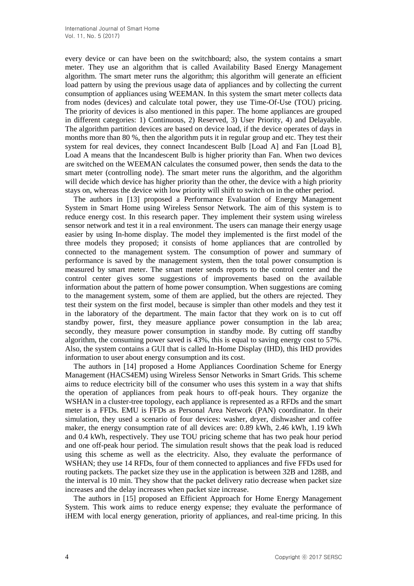every device or can have been on the switchboard; also, the system contains a smart meter. They use an algorithm that is called Availability Based Energy Management algorithm. The smart meter runs the algorithm; this algorithm will generate an efficient load pattern by using the previous usage data of appliances and by collecting the current consumption of appliances using WEEMAN. In this system the smart meter collects data from nodes (devices) and calculate total power, they use Time-Of-Use (TOU) pricing. The priority of devices is also mentioned in this paper. The home appliances are grouped in different categories: 1) Continuous, 2) Reserved, 3) User Priority, 4) and Delayable. The algorithm partition devices are based on device load, if the device operates of days in months more than 80 %, then the algorithm puts it in regular group and etc. They test their system for real devices, they connect Incandescent Bulb [Load A] and Fan [Load B], Load A means that the Incandescent Bulb is higher priority than Fan. When two devices are switched on the WEEMAN calculates the consumed power, then sends the data to the smart meter (controlling node). The smart meter runs the algorithm, and the algorithm will decide which device has higher priority than the other, the device with a high priority stays on, whereas the device with low priority will shift to switch on in the other period.

The authors in [13] proposed a Performance Evaluation of Energy Management System in Smart Home using Wireless Sensor Network. The aim of this system is to reduce energy cost. In this research paper. They implement their system using wireless sensor network and test it in a real environment. The users can manage their energy usage easier by using In-home display. The model they implemented is the first model of the three models they proposed; it consists of home appliances that are controlled by connected to the management system. The consumption of power and summary of performance is saved by the management system, then the total power consumption is measured by smart meter. The smart meter sends reports to the control center and the control center gives some suggestions of improvements based on the available information about the pattern of home power consumption. When suggestions are coming to the management system, some of them are applied, but the others are rejected. They test their system on the first model, because is simpler than other models and they test it in the laboratory of the department. The main factor that they work on is to cut off standby power, first, they measure appliance power consumption in the lab area; secondly, they measure power consumption in standby mode. By cutting off standby algorithm, the consuming power saved is 43%, this is equal to saving energy cost to 57%. Also, the system contains a GUI that is called In-Home Display (IHD), this IHD provides information to user about energy consumption and its cost.

The authors in [14] proposed a Home Appliances Coordination Scheme for Energy Management (HACS4EM) using Wireless Sensor Networks in Smart Grids. This scheme aims to reduce electricity bill of the consumer who uses this system in a way that shifts the operation of appliances from peak hours to off-peak hours. They organize the WSHAN in a cluster-tree topology, each appliance is represented as a RFDs and the smart meter is a FFDs. EMU is FFDs as Personal Area Network (PAN) coordinator. In their simulation, they used a scenario of four devices: washer, dryer, dishwasher and coffee maker, the energy consumption rate of all devices are: 0.89 kWh, 2.46 kWh, 1.19 kWh and 0.4 kWh, respectively. They use TOU pricing scheme that has two peak hour period and one off-peak hour period. The simulation result shows that the peak load is reduced using this scheme as well as the electricity. Also, they evaluate the performance of WSHAN; they use 14 RFDs, four of them connected to appliances and five FFDs used for routing packets. The packet size they use in the application is between 32B and 128B, and the interval is 10 min. They show that the packet delivery ratio decrease when packet size increases and the delay increases when packet size increase.

The authors in [15] proposed an Efficient Approach for Home Energy Management System. This work aims to reduce energy expense; they evaluate the performance of iHEM with local energy generation, priority of appliances, and real-time pricing. In this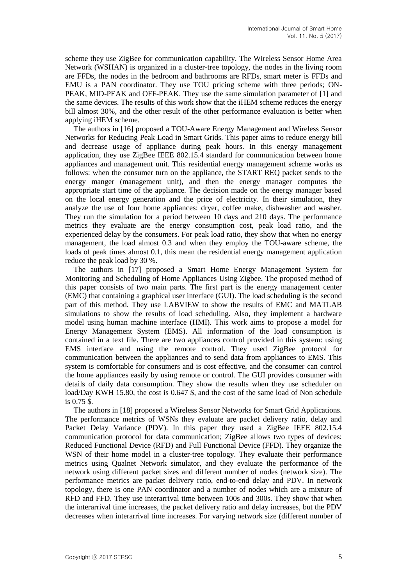scheme they use ZigBee for communication capability. The Wireless Sensor Home Area Network (WSHAN) is organized in a cluster-tree topology, the nodes in the living room are FFDs, the nodes in the bedroom and bathrooms are RFDs, smart meter is FFDs and EMU is a PAN coordinator. They use TOU pricing scheme with three periods; ON-PEAK, MID-PEAK and OFF-PEAK. They use the same simulation parameter of [1] and the same devices. The results of this work show that the iHEM scheme reduces the energy bill almost 30%, and the other result of the other performance evaluation is better when applying iHEM scheme.

The authors in [16] proposed a TOU-Aware Energy Management and Wireless Sensor Networks for Reducing Peak Load in Smart Grids. This paper aims to reduce energy bill and decrease usage of appliance during peak hours. In this energy management application, they use ZigBee IEEE 802.15.4 standard for communication between home appliances and management unit. This residential energy management scheme works as follows: when the consumer turn on the appliance, the START REQ packet sends to the energy manger (management unit), and then the energy manager computes the appropriate start time of the appliance. The decision made on the energy manager based on the local energy generation and the price of electricity. In their simulation, they analyze the use of four home appliances: dryer, coffee make, dishwasher and washer. They run the simulation for a period between 10 days and 210 days. The performance metrics they evaluate are the energy consumption cost, peak load ratio, and the experienced delay by the consumers. For peak load ratio, they show that when no energy management, the load almost 0.3 and when they employ the TOU-aware scheme, the loads of peak times almost 0.1, this mean the residential energy management application reduce the peak load by 30 %.

The authors in [17] proposed a Smart Home Energy Management System for Monitoring and Scheduling of Home Appliances Using Zigbee. The proposed method of this paper consists of two main parts. The first part is the energy management center (EMC) that containing a graphical user interface (GUI). The load scheduling is the second part of this method. They use LABVIEW to show the results of EMC and MATLAB simulations to show the results of load scheduling. Also, they implement a hardware model using human machine interface (HMI). This work aims to propose a model for Energy Management System (EMS). All information of the load consumption is contained in a text file. There are two appliances control provided in this system: using EMS interface and using the remote control. They used ZigBee protocol for communication between the appliances and to send data from appliances to EMS. This system is comfortable for consumers and is cost effective, and the consumer can control the home appliances easily by using remote or control. The GUI provides consumer with details of daily data consumption. They show the results when they use scheduler on load/Day KWH 15.80, the cost is 0.647 \$, and the cost of the same load of Non schedule is 0.75 \$.

The authors in [18] proposed a Wireless Sensor Networks for Smart Grid Applications. The performance metrics of WSNs they evaluate are packet delivery ratio, delay and Packet Delay Variance (PDV). In this paper they used a ZigBee IEEE 802.15.4 communication protocol for data communication; ZigBee allows two types of devices: Reduced Functional Device (RFD) and Full Functional Device (FFD). They organize the WSN of their home model in a cluster-tree topology. They evaluate their performance metrics using Qualnet Network simulator, and they evaluate the performance of the network using different packet sizes and different number of nodes (network size). The performance metrics are packet delivery ratio, end-to-end delay and PDV. In network topology, there is one PAN coordinator and a number of nodes which are a mixture of RFD and FFD. They use interarrival time between 100s and 300s. They show that when the interarrival time increases, the packet delivery ratio and delay increases, but the PDV decreases when interarrival time increases. For varying network size (different number of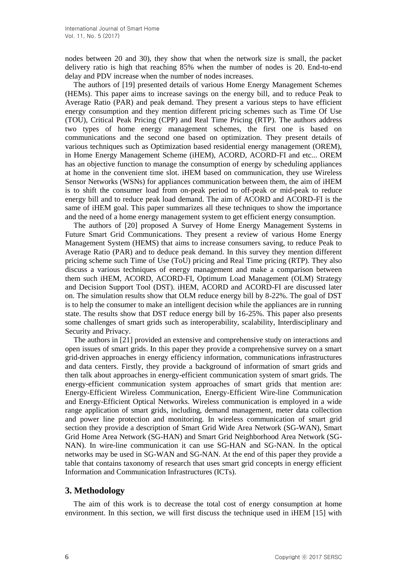nodes between 20 and 30), they show that when the network size is small, the packet delivery ratio is high that reaching 85% when the number of nodes is 20. End-to-end delay and PDV increase when the number of nodes increases.

The authors of [19] presented details of various Home Energy Management Schemes (HEMs). This paper aims to increase savings on the energy bill, and to reduce Peak to Average Ratio (PAR) and peak demand. They present a various steps to have efficient energy consumption and they mention different pricing schemes such as Time Of Use (TOU), Critical Peak Pricing (CPP) and Real Time Pricing (RTP). The authors address two types of home energy management schemes, the first one is based on communications and the second one based on optimization. They present details of various techniques such as Optimization based residential energy management (OREM), in Home Energy Management Scheme (iHEM), ACORD, ACORD-FI and etc... OREM has an objective function to manage the consumption of energy by scheduling appliances at home in the convenient time slot. iHEM based on communication, they use Wireless Sensor Networks (WSNs) for appliances communication between them, the aim of iHEM is to shift the consumer load from on-peak period to off-peak or mid-peak to reduce energy bill and to reduce peak load demand. The aim of ACORD and ACORD-FI is the same of iHEM goal. This paper summarizes all these techniques to show the importance and the need of a home energy management system to get efficient energy consumption.

The authors of [20] proposed A Survey of Home Energy Management Systems in Future Smart Grid Communications. They present a review of various Home Energy Management System (HEMS) that aims to increase consumers saving, to reduce Peak to Average Ratio (PAR) and to deduce peak demand. In this survey they mention different pricing scheme such Time of Use (ToU) pricing and Real Time pricing (RTP). They also discuss a various techniques of energy management and make a comparison between them such iHEM, ACORD, ACORD-FI, Optimum Load Management (OLM) Strategy and Decision Support Tool (DST). iHEM, ACORD and ACORD-FI are discussed later on. The simulation results show that OLM reduce energy bill by 8-22%. The goal of DST is to help the consumer to make an intelligent decision while the appliances are in running state. The results show that DST reduce energy bill by 16-25%. This paper also presents some challenges of smart grids such as interoperability, scalability, Interdisciplinary and Security and Privacy.

The authors in [21] provided an extensive and comprehensive study on interactions and open issues of smart grids. In this paper they provide a comprehensive survey on a smart grid-driven approaches in energy efficiency information, communications infrastructures and data centers. Firstly, they provide a background of information of smart grids and then talk about approaches in energy-efficient communication system of smart grids. The energy-efficient communication system approaches of smart grids that mention are: Energy-Efficient Wireless Communication, Energy-Efficient Wire-line Communication and Energy-Efficient Optical Networks. Wireless communication is employed in a wide range application of smart grids, including, demand management, meter data collection and power line protection and monitoring. In wireless communication of smart grid section they provide a description of Smart Grid Wide Area Network (SG-WAN), Smart Grid Home Area Network (SG-HAN) and Smart Grid Neighborhood Area Network (SG-NAN). In wire-line communication it can use SG-HAN and SG-NAN. In the optical networks may be used in SG-WAN and SG-NAN. At the end of this paper they provide a table that contains taxonomy of research that uses smart grid concepts in energy efficient Information and Communication Infrastructures (ICTs).

# **3. Methodology**

The aim of this work is to decrease the total cost of energy consumption at home environment. In this section, we will first discuss the technique used in iHEM [15] with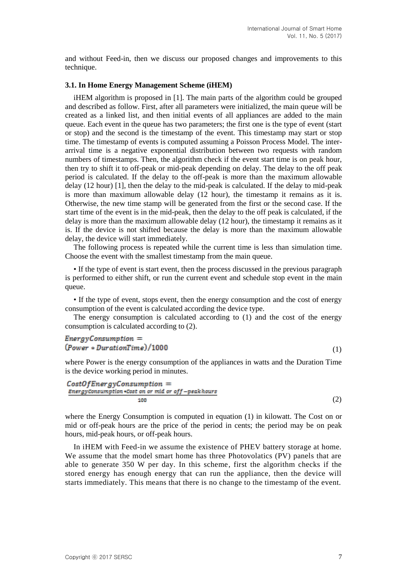and without Feed-in, then we discuss our proposed changes and improvements to this technique.

#### **3.1. In Home Energy Management Scheme (iHEM)**

iHEM algorithm is proposed in [1]. The main parts of the algorithm could be grouped and described as follow. First, after all parameters were initialized, the main queue will be created as a linked list, and then initial events of all appliances are added to the main queue. Each event in the queue has two parameters; the first one is the type of event (start or stop) and the second is the timestamp of the event. This timestamp may start or stop time. The timestamp of events is computed assuming a Poisson Process Model. The interarrival time is a negative exponential distribution between two requests with random numbers of timestamps. Then, the algorithm check if the event start time is on peak hour, then try to shift it to off-peak or mid-peak depending on delay. The delay to the off peak period is calculated. If the delay to the off-peak is more than the maximum allowable delay (12 hour) [1], then the delay to the mid-peak is calculated. If the delay to mid-peak is more than maximum allowable delay (12 hour), the timestamp it remains as it is. Otherwise, the new time stamp will be generated from the first or the second case. If the start time of the event is in the mid-peak, then the delay to the off peak is calculated, if the delay is more than the maximum allowable delay (12 hour), the timestamp it remains as it is. If the device is not shifted because the delay is more than the maximum allowable delay, the device will start immediately.

The following process is repeated while the current time is less than simulation time. Choose the event with the smallest timestamp from the main queue.

• If the type of event is start event, then the process discussed in the previous paragraph is performed to either shift, or run the current event and schedule stop event in the main queue.

• If the type of event, stops event, then the energy consumption and the cost of energy consumption of the event is calculated according the device type.

The energy consumption is calculated according to (1) and the cost of the energy consumption is calculated according to (2).

## $EnergyConstruction =$  $(Power *DurationTime)/1000$

where Power is the energy consumption of the appliances in watts and the Duration Time is the device working period in minutes.

$$
CostOfEnergyConstruction = \narray\n EnergyConstruction *Cost on or mid or off-peak hours\n 100
$$
\n(2)

where the Energy Consumption is computed in equation (1) in kilowatt. The Cost on or mid or off-peak hours are the price of the period in cents; the period may be on peak hours, mid-peak hours, or off-peak hours.

In iHEM with Feed-in we assume the existence of PHEV battery storage at home. We assume that the model smart home has three Photovolatics (PV) panels that are able to generate 350 W per day. In this scheme, first the algorithm checks if the stored energy has enough energy that can run the appliance, then the device will starts immediately. This means that there is no change to the timestamp of the event.

(1)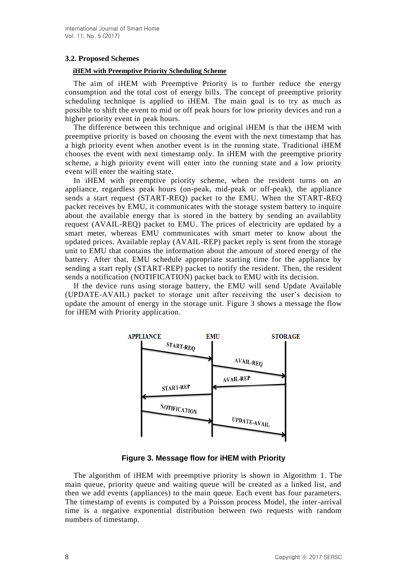## **3.2. Proposed Schemes**

## **iHEM with Preemptive Priority Scheduling Scheme**

The aim of iHEM with Preemptive Priority is to further reduce the energy consumption and the total cost of energy bills. The concept of preemptive priority scheduling technique is applied to iHEM. The main goal is to try as much as possible to shift the event to mid or off peak hours for low priority devices and run a higher priority event in peak hours.

The difference between this technique and original iHEM is that the iHEM with preemptive priority is based on choosing the event with the next timestamp that has a high priority event when another event is in the running state. Traditional iHEM chooses the event with next timestamp only. In iHEM with the preemptive priority scheme, a high priority event will enter into the running state and a low priority event will enter the waiting state.

In iHEM with preemptive priority scheme, when the resident turns on an appliance, regardless peak hours (on-peak, mid-peak or off-peak), the appliance sends a start request (START-REQ) packet to the EMU. When the START-REQ packet receives by EMU, it communicates with the storage system battery to inquire about the available energy that is stored in the battery by sending an availablity request (AVAIL-REQ) packet to EMU. The prices of electricity are updated by a smart meter, whereas EMU communicates with smart meter to know about the updated prices. Available replay (AVAIL-REP) packet reply is sent from the storage unit to EMU that contains the information about the amount of stored energy of the battery. After that, EMU schedule appropriate starting time for the appliance by sending a start reply (START-REP) packet to notify the resident. Then, the resident sends a notification (NOTIFICATION) packet back to EMU with its decision.

If the device runs using storage battery, the EMU will send Update Available (UPDATE-AVAIL) packet to storage unit after receiving the user's decision to update the amount of energy in the storage unit. Figure 3 shows a message the flow for iHEM with Priority application.



**Figure 3. Message flow for iHEM with Priority**

The algorithm of iHEM with preemptive priority is shown in Algorithm 1. The main queue, priority queue and waiting queue will be created as a linked list, and then we add events (appliances) to the main queue. Each event has four parameters. The timestamp of events is computed by a Poisson process Model, the inter-arrival time is a negative exponential distribution between two requests with random numbers of timestamp.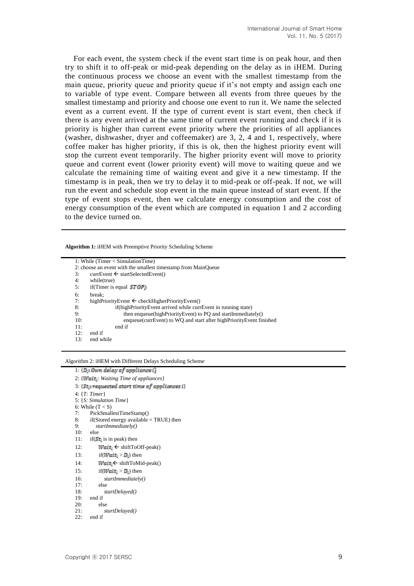For each event, the system check if the event start time is on peak hour, and then try to shift it to off-peak or mid-peak depending on the delay as in iHEM. During the continuous process we choose an event with the smallest timestamp from the main queue, priority queue and priority queue if it's not empty and assign each one to variable of type event. Compare between all events from three queues by the smallest timestamp and priority and choose one event to run it. We name the selected event as a current event. If the type of current event is start event, then check if there is any event arrived at the same time of current event running and check if it is priority is higher than current event priority where the priorities of all appliances (washer, dishwasher, dryer and coffeemaker) are 3, 2, 4 and 1, respectively, where coffee maker has higher priority, if this is ok, then the highest priority event will stop the current event temporarily. The higher priority event will move to priority queue and current event (lower priority event) will move to waiting queue and we calculate the remaining time of waiting event and give it a new timestamp. If the timestamp is in peak, then we try to delay it to mid-peak or off-peak. If not, we will run the event and schedule stop event in the main queue instead of start event. If the type of event stops event, then we calculate energy consumption and the cost of energy consumption of the event which are computed in equation 1 and 2 according to the device turned on.

**Algorithm 1:** iHEM with Preemptive Priority Scheduling Scheme

| 1: While (Timer $\langle$ Simulation Time)                                 |  |  |  |
|----------------------------------------------------------------------------|--|--|--|
| 2: choose an event with the smallest timestamp from MainQueue              |  |  |  |
| $currEvent \leftarrow startSelectedEvent()$<br>3:                          |  |  |  |
| 4:<br>while(true)                                                          |  |  |  |
| if (Timer is equal $STOP$ .)<br>5:                                         |  |  |  |
| 6:<br>break:                                                               |  |  |  |
| 7:<br>highPriorityEvent $\leftarrow$ checkHigherPriorityEvent()            |  |  |  |
| if(highPriorityEvent arrived while currEvent in running state)<br>8:       |  |  |  |
| 9:<br>then enqueue(highPriorityEvent) to PQ and startImmediately()         |  |  |  |
| enqueue(currEvent) to WQ and start after highPriorityEvent finished<br>10: |  |  |  |
| 11:<br>end if                                                              |  |  |  |
| 12:<br>end if                                                              |  |  |  |
| 13:<br>end while                                                           |  |  |  |

#### Algorithm 2: iHEM with Different Delays Scheduling Scheme

```
1: {D<sub>i</sub>: Own delay of appliance i}
2: {Wait<sub>i</sub>: Waiting Time of appliances}
3: {St<sub>i</sub>: requested start time of applications i}4: {T: Timer}
5: {S: Simulation Time}
6: While (T < S)7: PickSmallestTimeStamp()
8: if(Stored energy available = TRUE) then<br>9: startImmediateby()9: startImmediately()
10: else
11: if(St: is in peak) then
12: Wait: \leftarrow shiftToOff-peak()13: if (Wait_i > D_i) then
14: Wait: \leftarrow shiftToMid-peak()15: if (Wait_i > D_i) then
16: startImmediately()
          else
18: startDelayed()
19: end if<br>
20: els
          else
21: startDelayed()
22: end if
```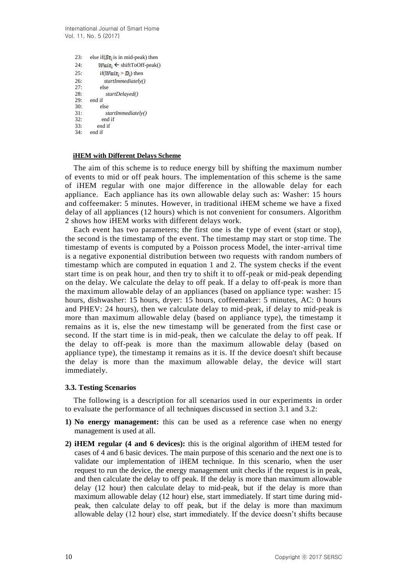International Journal of Smart Home Vol. 11, No. 5 (2017)

```
23: else if(St is in mid-peak) then
24: Wait_i \leftarrow shiftToOff-peak()25: if (Wait_i > D_i) then
26: startImmediately()
         else
28: startDelayed()
29: end if
30: else<br>31: st
           31: startImmediately()
32: end if
33: end if
     end if
```
#### **iHEM with Different Delays Scheme**

The aim of this scheme is to reduce energy bill by shifting the maximum number of events to mid or off peak hours. The implementation of this scheme is the same of iHEM regular with one major difference in the allowable delay for each appliance. Each appliance has its own allowable delay such as: Washer: 15 hours and coffeemaker: 5 minutes. However, in traditional iHEM scheme we have a fixed delay of all appliances (12 hours) which is not convenient for consumers. Algorithm 2 shows how iHEM works with different delays work.

Each event has two parameters; the first one is the type of event (start or stop), the second is the timestamp of the event. The timestamp may start or stop time. The timestamp of events is computed by a Poisson process Model, the inter-arrival time is a negative exponential distribution between two requests with random numbers of timestamp which are computed in equation 1 and 2. The system checks if the event start time is on peak hour, and then try to shift it to off-peak or mid-peak depending on the delay. We calculate the delay to off peak. If a delay to off-peak is more than the maximum allowable delay of an appliances (based on appliance type: washer: 15 hours, dishwasher: 15 hours, dryer: 15 hours, coffeemaker: 5 minutes, AC: 0 hours and PHEV: 24 hours), then we calculate delay to mid-peak, if delay to mid-peak is more than maximum allowable delay (based on appliance type), the timestamp it remains as it is, else the new timestamp will be generated from the first case or second. If the start time is in mid-peak, then we calculate the delay to off peak. If the delay to off-peak is more than the maximum allowable delay (based on appliance type), the timestamp it remains as it is. If the device doesn't shift because the delay is more than the maximum allowable delay, the device will start immediately.

#### **3.3. Testing Scenarios**

The following is a description for all scenarios used in our experiments in order to evaluate the performance of all techniques discussed in section 3.1 and 3.2:

- **1) No energy management:** this can be used as a reference case when no energy management is used at all.
- **2) iHEM regular (4 and 6 devices):** this is the original algorithm of iHEM tested for cases of 4 and 6 basic devices. The main purpose of this scenario and the next one is to validate our implementation of iHEM technique. In this scenario, when the user request to run the device, the energy management unit checks if the request is in peak, and then calculate the delay to off peak. If the delay is more than maximum allowable delay (12 hour) then calculate delay to mid-peak, but if the delay is more than maximum allowable delay (12 hour) else, start immediately. If start time during midpeak, then calculate delay to off peak, but if the delay is more than maximum allowable delay (12 hour) else, start immediately. If the device doesn't shifts because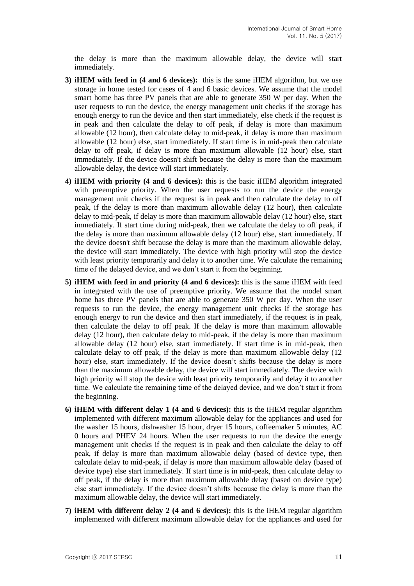the delay is more than the maximum allowable delay, the device will start immediately.

- **3) iHEM with feed in (4 and 6 devices):** this is the same iHEM algorithm, but we use storage in home tested for cases of 4 and 6 basic devices. We assume that the model smart home has three PV panels that are able to generate 350 W per day. When the user requests to run the device, the energy management unit checks if the storage has enough energy to run the device and then start immediately, else check if the request is in peak and then calculate the delay to off peak, if delay is more than maximum allowable (12 hour), then calculate delay to mid-peak, if delay is more than maximum allowable (12 hour) else, start immediately. If start time is in mid-peak then calculate delay to off peak, if delay is more than maximum allowable (12 hour) else, start immediately. If the device doesn't shift because the delay is more than the maximum allowable delay, the device will start immediately.
- **4) iHEM with priority (4 and 6 devices):** this is the basic iHEM algorithm integrated with preemptive priority. When the user requests to run the device the energy management unit checks if the request is in peak and then calculate the delay to off peak, if the delay is more than maximum allowable delay (12 hour), then calculate delay to mid-peak, if delay is more than maximum allowable delay (12 hour) else, start immediately. If start time during mid-peak, then we calculate the delay to off peak, if the delay is more than maximum allowable delay (12 hour) else, start immediately. If the device doesn't shift because the delay is more than the maximum allowable delay, the device will start immediately. The device with high priority will stop the device with least priority temporarily and delay it to another time. We calculate the remaining time of the delayed device, and we don't start it from the beginning.
- **5) iHEM with feed in and priority (4 and 6 devices):** this is the same iHEM with feed in integrated with the use of preemptive priority. We assume that the model smart home has three PV panels that are able to generate 350 W per day. When the user requests to run the device, the energy management unit checks if the storage has enough energy to run the device and then start immediately, if the request is in peak, then calculate the delay to off peak. If the delay is more than maximum allowable delay (12 hour), then calculate delay to mid-peak, if the delay is more than maximum allowable delay (12 hour) else, start immediately. If start time is in mid-peak, then calculate delay to off peak, if the delay is more than maximum allowable delay (12 hour) else, start immediately. If the device doesn't shifts because the delay is more than the maximum allowable delay, the device will start immediately. The device with high priority will stop the device with least priority temporarily and delay it to another time. We calculate the remaining time of the delayed device, and we don't start it from the beginning.
- **6) iHEM with different delay 1 (4 and 6 devices):** this is the iHEM regular algorithm implemented with different maximum allowable delay for the appliances and used for the washer 15 hours, dishwasher 15 hour, dryer 15 hours, coffeemaker 5 minutes, AC 0 hours and PHEV 24 hours. When the user requests to run the device the energy management unit checks if the request is in peak and then calculate the delay to off peak, if delay is more than maximum allowable delay (based of device type, then calculate delay to mid-peak, if delay is more than maximum allowable delay (based of device type) else start immediately. If start time is in mid-peak, then calculate delay to off peak, if the delay is more than maximum allowable delay (based on device type) else start immediately. If the device doesn't shifts because the delay is more than the maximum allowable delay, the device will start immediately.
- **7) iHEM with different delay 2 (4 and 6 devices):** this is the iHEM regular algorithm implemented with different maximum allowable delay for the appliances and used for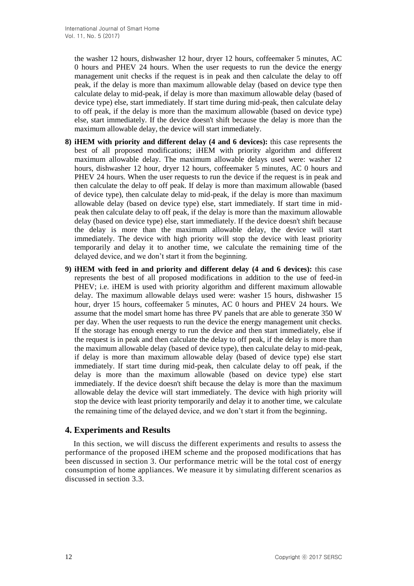the washer 12 hours, dishwasher 12 hour, dryer 12 hours, coffeemaker 5 minutes, AC 0 hours and PHEV 24 hours. When the user requests to run the device the energy management unit checks if the request is in peak and then calculate the delay to off peak, if the delay is more than maximum allowable delay (based on device type then calculate delay to mid-peak, if delay is more than maximum allowable delay (based of device type) else, start immediately. If start time during mid-peak, then calculate delay to off peak, if the delay is more than the maximum allowable (based on device type) else, start immediately. If the device doesn't shift because the delay is more than the maximum allowable delay, the device will start immediately.

- **8) iHEM with priority and different delay (4 and 6 devices):** this case represents the best of all proposed modifications; iHEM with priority algorithm and different maximum allowable delay. The maximum allowable delays used were: washer 12 hours, dishwasher 12 hour, dryer 12 hours, coffeemaker 5 minutes, AC 0 hours and PHEV 24 hours. When the user requests to run the device if the request is in peak and then calculate the delay to off peak. If delay is more than maximum allowable (based of device type), then calculate delay to mid-peak, if the delay is more than maximum allowable delay (based on device type) else, start immediately. If start time in midpeak then calculate delay to off peak, if the delay is more than the maximum allowable delay (based on device type) else, start immediately. If the device doesn't shift because the delay is more than the maximum allowable delay, the device will start immediately. The device with high priority will stop the device with least priority temporarily and delay it to another time, we calculate the remaining time of the delayed device, and we don't start it from the beginning.
- **9) iHEM with feed in and priority and different delay (4 and 6 devices):** this case represents the best of all proposed modifications in addition to the use of feed-in PHEV; i.e. iHEM is used with priority algorithm and different maximum allowable delay. The maximum allowable delays used were: washer 15 hours, dishwasher 15 hour, dryer 15 hours, coffeemaker 5 minutes, AC 0 hours and PHEV 24 hours. We assume that the model smart home has three PV panels that are able to generate 350 W per day. When the user requests to run the device the energy management unit checks. If the storage has enough energy to run the device and then start immediately, else if the request is in peak and then calculate the delay to off peak, if the delay is more than the maximum allowable delay (based of device type), then calculate delay to mid-peak, if delay is more than maximum allowable delay (based of device type) else start immediately. If start time during mid-peak, then calculate delay to off peak, if the delay is more than the maximum allowable (based on device type) else start immediately. If the device doesn't shift because the delay is more than the maximum allowable delay the device will start immediately. The device with high priority will stop the device with least priority temporarily and delay it to another time, we calculate the remaining time of the delayed device, and we don't start it from the beginning.

# **4. Experiments and Results**

In this section, we will discuss the different experiments and results to assess the performance of the proposed iHEM scheme and the proposed modifications that has been discussed in section 3. Our performance metric will be the total cost of energy consumption of home appliances. We measure it by simulating different scenarios as discussed in section 3.3.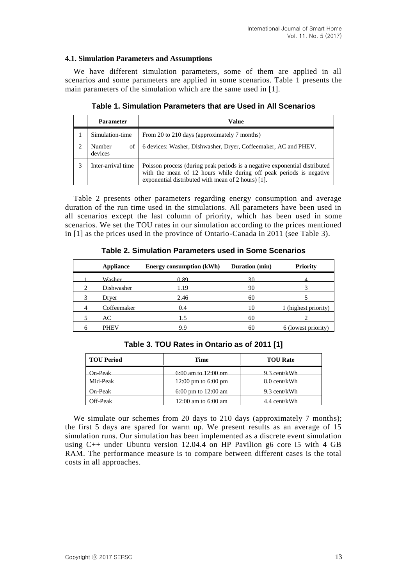## **4.1. Simulation Parameters and Assumptions**

We have different simulation parameters, some of them are applied in all scenarios and some parameters are applied in some scenarios. Table 1 presents the main parameters of the simulation which are the same used in [1].

|   | <b>Parameter</b>        | Value                                                                                                                                                                                                   |  |
|---|-------------------------|---------------------------------------------------------------------------------------------------------------------------------------------------------------------------------------------------------|--|
|   | Simulation-time         | From 20 to 210 days (approximately 7 months)                                                                                                                                                            |  |
|   | Number<br>οf<br>devices | 6 devices: Washer, Dishwasher, Dryer, Coffeemaker, AC and PHEV.                                                                                                                                         |  |
| 3 | Inter-arrival time      | Poisson process (during peak periods is a negative exponential distributed<br>with the mean of 12 hours while during off peak periods is negative<br>exponential distributed with mean of 2 hours) [1]. |  |

**Table 1. Simulation Parameters that are Used in All Scenarios**

Table 2 presents other parameters regarding energy consumption and average duration of the run time used in the simulations. All parameters have been used in all scenarios except the last column of priority, which has been used in some scenarios. We set the TOU rates in our simulation according to the prices mentioned in [1] as the prices used in the province of Ontario-Canada in 2011 (see Table 3).

|   | <b>Appliance</b> | <b>Energy consumption (kWh)</b> | Duration (min) | <b>Priority</b>      |
|---|------------------|---------------------------------|----------------|----------------------|
|   | <b>Washer</b>    | 0.89                            | 30             |                      |
| 2 | Dishwasher       | 1.19                            | 90             |                      |
| 3 | Dryer            | 2.46                            | 60             |                      |
|   | Coffeemaker      | 0.4                             | 10             | 1 (highest priority) |
|   | AC               | 1.5                             | 60             |                      |
|   | <b>PHEV</b>      | 9.9                             | 60             | 6 (lowest priority)  |

**Table 2. Simulation Parameters used in Some Scenarios**

|  | Table 3. TOU Rates in Ontario as of 2011 [1] |  |  |  |
|--|----------------------------------------------|--|--|--|
|--|----------------------------------------------|--|--|--|

| <b>TOU Period</b> | <b>Time</b>           | <b>TOU Rate</b> |
|-------------------|-----------------------|-----------------|
| On-Peak-          | $6:00$ am to 12:00 pm | 9.3 cent/kWh    |
| Mid-Peak          | 12:00 pm to $6:00$ pm | 8.0 cent/kWh    |
| $On-Peak$         | 6:00 pm to $12:00$ am | 9.3 cent/kWh    |
| Off-Peak          | 12:00 am to $6:00$ am | 4.4 cent/kWh    |

We simulate our schemes from 20 days to 210 days (approximately 7 months); the first 5 days are spared for warm up. We present results as an average of 15 simulation runs. Our simulation has been implemented as a discrete event simulation using C++ under Ubuntu version 12.04.4 on HP Pavilion g6 core i5 with 4 GB RAM. The performance measure is to compare between different cases is the total costs in all approaches.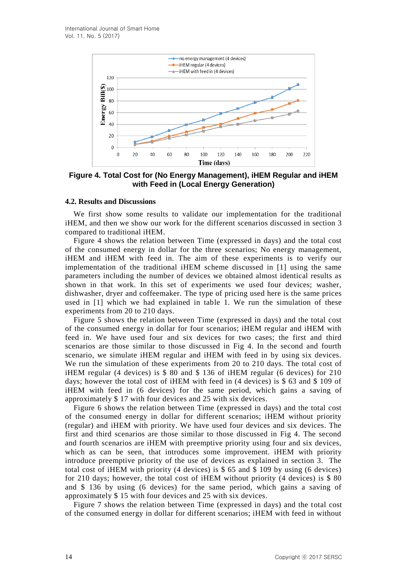

**Figure 4. Total Cost for (No Energy Management), iHEM Regular and iHEM with Feed in (Local Energy Generation)**

## **4.2. Results and Discussions**

We first show some results to validate our implementation for the traditional iHEM, and then we show our work for the different scenarios discussed in section 3 compared to traditional iHEM.

Figure 4 shows the relation between Time (expressed in days) and the total cost of the consumed energy in dollar for the three scenarios; No energy management, iHEM and iHEM with feed in. The aim of these experiments is to verify our implementation of the traditional iHEM scheme discussed in [1] using the same parameters including the number of devices we obtained almost identical results as shown in that work. In this set of experiments we used four devices; washer, dishwasher, dryer and coffeemaker. The type of pricing used here is the same prices used in [1] which we had explained in table 1. We run the simulation of these experiments from 20 to 210 days.

Figure 5 shows the relation between Time (expressed in days) and the total cost of the consumed energy in dollar for four scenarios; iHEM regular and iHEM with feed in. We have used four and six devices for two cases; the first and third scenarios are those similar to those discussed in Fig 4. In the second and fourth scenario, we simulate iHEM regular and iHEM with feed in by using six devices. We run the simulation of these experiments from 20 to 210 days. The total cost of iHEM regular (4 devices) is \$ 80 and \$ 136 of iHEM regular (6 devices) for 210 days; however the total cost of iHEM with feed in (4 devices) is \$ 63 and \$ 109 of iHEM with feed in (6 devices) for the same period, which gains a saving of approximately \$ 17 with four devices and 25 with six devices.

Figure 6 shows the relation between Time (expressed in days) and the total cost of the consumed energy in dollar for different scenarios; iHEM without priority (regular) and iHEM with priority. We have used four devices and six devices. The first and third scenarios are those similar to those discussed in Fig 4. The second and fourth scenarios are iHEM with preemptive priority using four and six devices, which as can be seen, that introduces some improvement. **iHEM** with priority introduce preemptive priority of the use of devices as explained in section 3. The total cost of iHEM with priority (4 devices) is \$ 65 and \$ 109 by using (6 devices) for 210 days; however, the total cost of iHEM without priority (4 devices) is \$ 80 and \$ 136 by using (6 devices) for the same period, which gains a saving of approximately \$ 15 with four devices and 25 with six devices.

Figure 7 shows the relation between Time (expressed in days) and the total cost of the consumed energy in dollar for different scenarios; iHEM with feed in without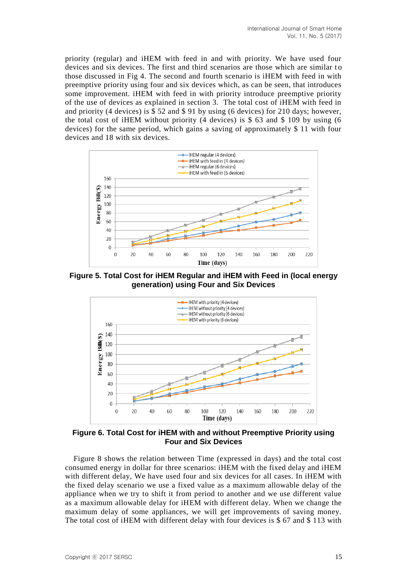priority (regular) and iHEM with feed in and with priority. We have used four devices and six devices. The first and third scenarios are those which are similar to those discussed in Fig 4. The second and fourth scenario is iHEM with feed in with preemptive priority using four and six devices which, as can be seen, that introduces some improvement. iHEM with feed in with priority introduce preemptive priority of the use of devices as explained in section 3. The total cost of iHEM with feed in and priority (4 devices) is \$ 52 and \$ 91 by using (6 devices) for 210 days; however, the total cost of iHEM without priority (4 devices) is \$ 63 and \$ 109 by using (6 devices) for the same period, which gains a saving of approximately \$ 11 with four devices and 18 with six devices.



**Figure 5. Total Cost for iHEM Regular and iHEM with Feed in (local energy generation) using Four and Six Devices**



**Figure 6. Total Cost for iHEM with and without Preemptive Priority using Four and Six Devices**

Figure 8 shows the relation between Time (expressed in days) and the total cost consumed energy in dollar for three scenarios: iHEM with the fixed delay and iHEM with different delay. We have used four and six devices for all cases. In iHEM with the fixed delay scenario we use a fixed value as a maximum allowable delay of the appliance when we try to shift it from period to another and we use different value as a maximum allowable delay for iHEM with different delay. When we change the maximum delay of some appliances, we will get improvements of saving money. The total cost of iHEM with different delay with four devices is \$ 67 and \$ 113 with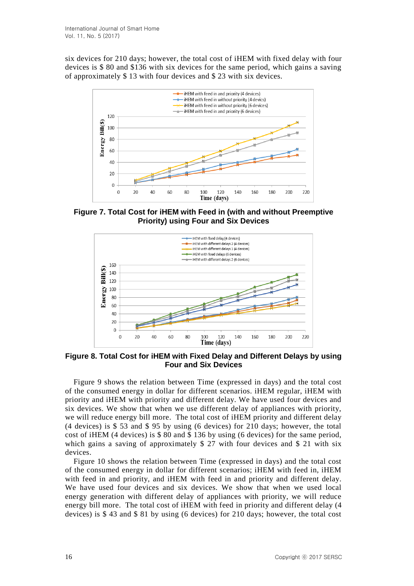six devices for 210 days; however, the total cost of iHEM with fixed delay with four devices is \$ 80 and \$136 with six devices for the same period, which gains a saving of approximately \$ 13 with four devices and \$ 23 with six devices.



**Figure 7. Total Cost for iHEM with Feed in (with and without Preemptive Priority) using Four and Six Devices**



**Figure 8. Total Cost for iHEM with Fixed Delay and Different Delays by using Four and Six Devices**

Figure 9 shows the relation between Time (expressed in days) and the total cost of the consumed energy in dollar for different scenarios. iHEM regular, iHEM with priority and iHEM with priority and different delay. We have used four devices and six devices. We show that when we use different delay of appliances with priority, we will reduce energy bill more. The total cost of iHEM priority and different delay (4 devices) is \$ 53 and \$ 95 by using (6 devices) for 210 days; however, the total cost of iHEM (4 devices) is \$ 80 and \$ 136 by using (6 devices) for the same period, which gains a saving of approximately \$ 27 with four devices and \$ 21 with six devices.

Figure 10 shows the relation between Time (expressed in days) and the total cost of the consumed energy in dollar for different scenarios; iHEM with feed in, iHEM with feed in and priority, and iHEM with feed in and priority and different delay. We have used four devices and six devices. We show that when we used local energy generation with different delay of appliances with priority, we will reduce energy bill more. The total cost of iHEM with feed in priority and different delay (4 devices) is \$ 43 and \$ 81 by using (6 devices) for 210 days; however, the total cost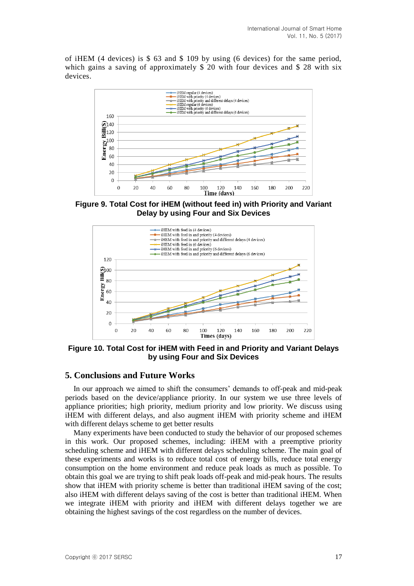of iHEM (4 devices) is \$ 63 and \$ 109 by using (6 devices) for the same period, which gains a saving of approximately \$20 with four devices and \$28 with six devices.



**Figure 9. Total Cost for iHEM (without feed in) with Priority and Variant Delay by using Four and Six Devices**



**Figure 10. Total Cost for iHEM with Feed in and Priority and Variant Delays by using Four and Six Devices**

# **5. Conclusions and Future Works**

In our approach we aimed to shift the consumers' demands to off-peak and mid-peak periods based on the device/appliance priority. In our system we use three levels of appliance priorities; high priority, medium priority and low priority. We discuss using iHEM with different delays, and also augment iHEM with priority scheme and iHEM with different delays scheme to get better results

Many experiments have been conducted to study the behavior of our proposed schemes in this work. Our proposed schemes, including: iHEM with a preemptive priority scheduling scheme and iHEM with different delays scheduling scheme. The main goal of these experiments and works is to reduce total cost of energy bills, reduce total energy consumption on the home environment and reduce peak loads as much as possible. To obtain this goal we are trying to shift peak loads off-peak and mid-peak hours. The results show that iHEM with priority scheme is better than traditional iHEM saving of the cost; also iHEM with different delays saving of the cost is better than traditional iHEM. When we integrate iHEM with priority and iHEM with different delays together we are obtaining the highest savings of the cost regardless on the number of devices.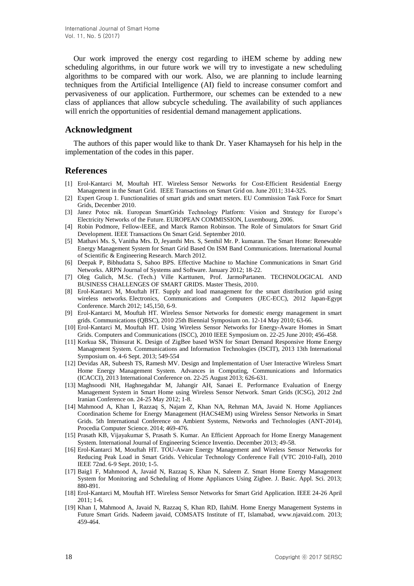Our work improved the energy cost regarding to iHEM scheme by adding new scheduling algorithms, in our future work we will try to investigate a new scheduling algorithms to be compared with our work. Also, we are planning to include learning techniques from the Artificial Intelligence (AI) field to increase consumer comfort and pervasiveness of our application. Furthermore, our schemes can be extended to a new class of appliances that allow subcycle scheduling. The availability of such appliances will enrich the opportunities of residential demand management applications.

## **Acknowledgment**

The authors of this paper would like to thank Dr. Yaser Khamayseh for his help in the implementation of the codes in this paper.

## **References**

- [1] Erol-Kantarci M, Mouftah HT. Wireless Sensor Networks for Cost-Efficient Residential Energy Management in the Smart Grid. IEEE Transactions on Smart Grid on. June 2011; 314-325.
- [2] Expert Group 1. Functionalities of smart grids and smart meters. EU Commission Task Force for Smart Grids, December 2010.
- [3] Janez Potoc nik. European SmartGrids Technology Platform: Vision and Strategy for Europe's Electricity Networks of the Future. EUROPEAN COMMISSION, Luxembourg, 2006.
- [4] Robin Podmore, Fellow-IEEE, and Marck Ramon Robinson. The Role of Simulators for Smart Grid Development. IEEE Transactions On Smart Grid. September 2010.
- [5] Mathavi Ms. S, Vanitha Mrs. D, Jeyanthi Mrs. S, Senthil Mr. P. kumaran. The Smart Home: Renewable Energy Management System for Smart Grid Based On ISM Band Communications. International Journal of Scientific & Engineering Research. March 2012.
- [6] Deepak P, Bibhudatta S, Sahoo BPS. Effective Machine to Machine Communications in Smart Grid Networks. ARPN Journal of Systems and Software. January 2012; 18-22.
- [7] Oleg Gulich, M.Sc. (Tech.) Ville Karttunen, Prof. JarmoPartanen. TECHNOLOGICAL AND BUSINESS CHALLENGES OF SMART GRIDS. Master Thesis, 2010.
- [8] Erol-Kantarci M, Mouftah HT. Supply and load management for the smart distribution grid using wireless networks. Electronics, Communications and Computers (JEC-ECC), 2012 Japan-Egypt Conference. March 2012; 145,150, 6-9.
- [9] Erol-Kantarci M, Mouftah HT. Wireless Sensor Networks for domestic energy management in smart grids. Communications (QBSC), 2010 25th Biennial Symposium on. 12-14 May 2010; 63-66.
- [10] Erol-Kantarci M, Mouftah HT. Using Wireless Sensor Networks for Energy-Aware Homes in Smart Grids. Computers and Communications (ISCC), 2010 IEEE Symposium on. 22-25 June 2010; 456-458.
- [11] Korkua SK, Thinsurat K. Design of ZigBee based WSN for Smart Demand Responsive Home Energy Management System. Communications and Information Technologies (ISCIT), 2013 13th International Symposium on. 4-6 Sept. 2013; 549-554
- [12] Devidas AR, Subeesh TS, Ramesh MV. Design and Implementation of User Interactive Wireless Smart Home Energy Management System. Advances in Computing, Communications and Informatics (ICACCI), 2013 International Conference on. 22-25 August 2013; 626-631.
- [13] Maghsoodi NH, Haghnegahdar M, Jahangir AH, Sanaei E. Performance Evaluation of Energy Management System in Smart Home using Wireless Sensor Network. Smart Grids (ICSG), 2012 2nd Iranian Conference on. 24-25 May 2012; 1-8.
- [14] Mahmood A, Khan I, Razzaq S, Najam Z, Khan NA, Rehman MA, Javaid N. Home Appliances Coordination Scheme for Energy Management (HACS4EM) using Wireless Sensor Networks in Smart Grids. 5th International Conference on Ambient Systems, Networks and Technologies (ANT-2014), Procedia Computer Science. 2014; 469-476.
- [15] Prasath KB, Vijayakumar S, Prasath S. Kumar. An Efficient Approach for Home Energy Management System. International Journal of Engineering Science Inventio. December 2013; 49-58.
- [16] Erol-Kantarci M, Mouftah HT. TOU-Aware Energy Management and Wireless Sensor Networks for Reducing Peak Load in Smart Grids. Vehicular Technology Conference Fall (VTC 2010-Fall), 2010 IEEE 72nd. 6-9 Sept. 2010; 1-5.
- [17] Baig1 F, Mahmood A, Javaid N, Razzaq S, Khan N, Saleem Z. Smart Home Energy Management System for Monitoring and Scheduling of Home Appliances Using Zigbee. J. Basic. Appl. Sci. 2013; 880-891.
- [18] Erol-Kantarci M, Mouftah HT. Wireless Sensor Networks for Smart Grid Application. IEEE 24-26 April  $2011 \cdot 1 - 6$
- [19] Khan I, Mahmood A, Javaid N, Razzaq S, Khan RD, IlahiM. Home Energy Management Systems in Future Smart Grids. Nadeem javaid, COMSATS Institute of IT, Islamabad, [www.njavaid.com.](http://www.njavaid.com/) 2013; 459-464.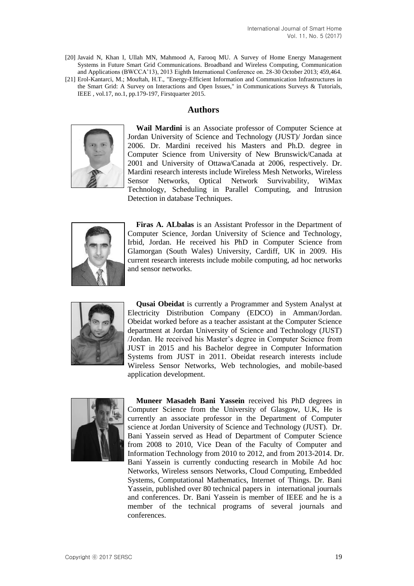[20] Javaid N, Khan I, Ullah MN, Mahmood A, Farooq MU. A Survey of Home Energy Management Systems in Future Smart Grid Communications. Broadband and Wireless Computing, Communication and Applications (BWCCA'13), 2013 Eighth International Conference on. 28-30 October 2013; 459,464. [21] Erol-Kantarci, M.; Mouftah, H.T., "Energy-Efficient Information and Communication Infrastructures in

the Smart Grid: A Survey on Interactions and Open Issues," in Communications Surveys & Tutorials, IEEE , vol.17, no.1, pp.179-197, Firstquarter 2015.

# **Authors**



**Wail Mardini** is an Associate professor of Computer Science at Jordan University of Science and Technology (JUST)/ Jordan since 2006. Dr. Mardini received his Masters and Ph.D. degree in Computer Science from University of New Brunswick/Canada at 2001 and University of Ottawa/Canada at 2006, respectively. Dr. Mardini research interests include Wireless Mesh Networks, Wireless Sensor Networks, Optical Network Survivability, WiMax Technology, Scheduling in Parallel Computing, and Intrusion Detection in database Techniques.



**Firas A. ALbalas** is an Assistant Professor in the Department of Computer Science, Jordan University of Science and Technology, Irbid, Jordan. He received his PhD in Computer Science from Glamorgan (South Wales) University, Cardiff, UK in 2009. His current research interests include mobile computing, ad hoc networks and sensor networks.



**Qusai Obeidat** is currently a Programmer and System Analyst at Electricity Distribution Company (EDCO) in Amman/Jordan. Obeidat worked before as a teacher assistant at the Computer Science department at Jordan University of Science and Technology (JUST) /Jordan. He received his Master's degree in Computer Science from JUST in 2015 and his Bachelor degree in Computer Information Systems from JUST in 2011. Obeidat research interests include Wireless Sensor Networks, Web technologies, and mobile-based application development.



**Muneer Masadeh Bani Yassein** received his PhD degrees in Computer Science from the University of Glasgow, U.K, He is currently an associate professor in the Department of Computer science at Jordan University of Science and Technology (JUST). Dr. Bani Yassein served as Head of Department of Computer Science from 2008 to 2010, Vice Dean of the Faculty of Computer and Information Technology from 2010 to 2012, and from 2013-2014. Dr. Bani Yassein is currently conducting research in Mobile Ad hoc Networks, Wireless sensors Networks, Cloud Computing, Embedded Systems, Computational Mathematics, Internet of Things. Dr. Bani Yassein, published over 80 technical papers in international journals and conferences. Dr. Bani Yassein is member of IEEE and he is a member of the technical programs of several journals and conferences.